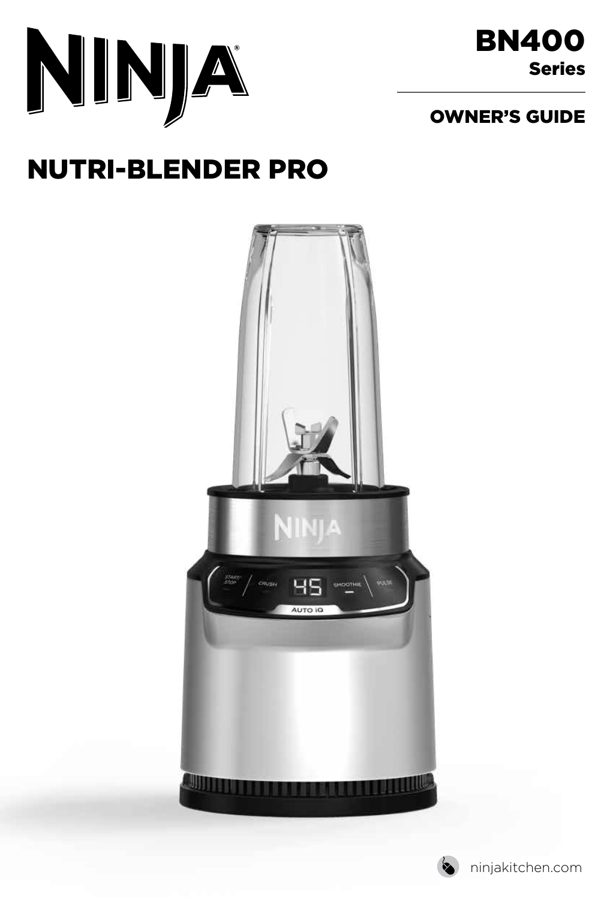

## OWNER'S GUIDE

# NUTRI-BLENDER PRO



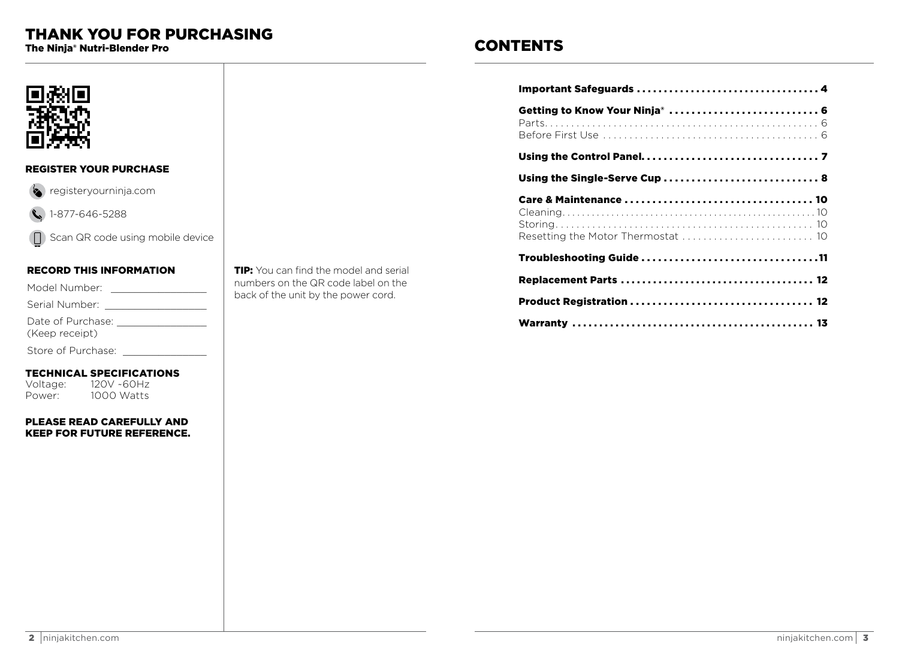# **THANK YOU FOR PURCHASING**

The Ninia® Nutri-Blender Pro

# **CONTENTS**

| Getting to Know Your Ninja <sup>®</sup> 6 |  |
|-------------------------------------------|--|
|                                           |  |
| Using the Single-Serve Cup  8             |  |
| Resetting the Motor Thermostat  10        |  |
| Troubleshooting Guide 11                  |  |
|                                           |  |
|                                           |  |
|                                           |  |



## **REGISTER YOUR PURCHASE**



 $\binom{1-877-646-5288}{ }$ 

□ Scan QR code using mobile device

## **RECORD THIS INFORMATION**

| Model Number:  |  |
|----------------|--|
| Serial Number: |  |

|  | Date of Purchase: |  |
|--|-------------------|--|

(Keep receipt)

Store of Purchase:

## **TECHNICAL SPECIFICATIONS**

120V ~60Hz Voltage: Power: 1000 Watts

### PLEASE READ CAREFULLY AND **KEEP FOR FUTURE REFERENCE.**

TIP: You can find the model and serial numbers on the QR code label on the back of the unit by the power cord.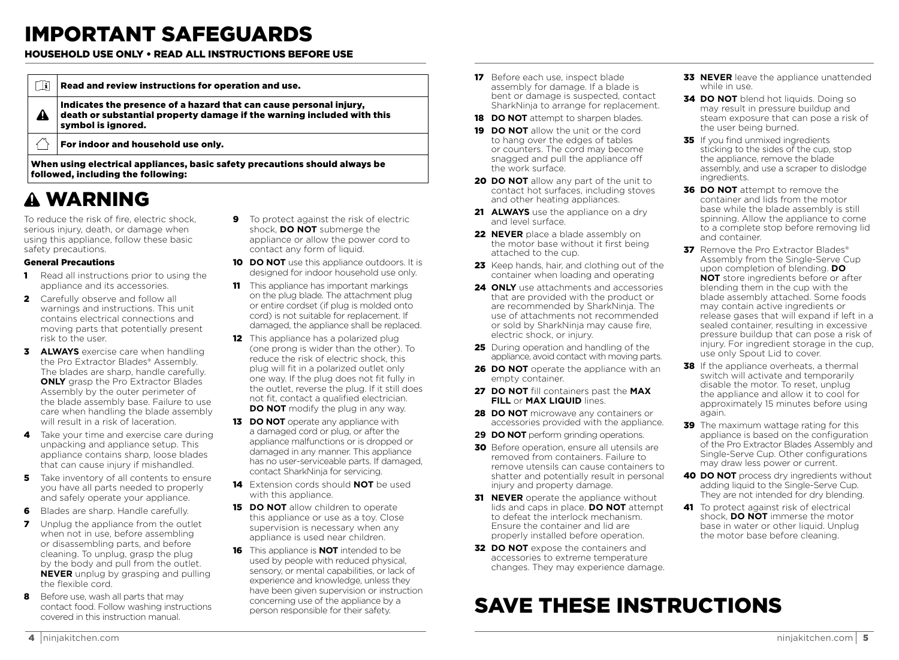# IMPORTANT SAFEGUARDS

## HOUSEHOLD USE ONLY • READ ALL INSTRUCTIONS BEFORE USE

| $ i\rangle$ | Read and review instructions for operation and use.                                                                                                                |
|-------------|--------------------------------------------------------------------------------------------------------------------------------------------------------------------|
| A           | Indicates the presence of a hazard that can cause personal injury,<br>death or substantial property damage if the warning included with this<br>symbol is ignored. |
|             | For indoor and household use only.                                                                                                                                 |
|             |                                                                                                                                                                    |

When using electrical appliances, basic safety precautions should always be followed, including the following:

# WARNING

To reduce the risk of fire, electric shock, serious injury, death, or damage when using this appliance, follow these basic safety precautions.

### General Precautions

- **1** Read all instructions prior to using the appliance and its accessories.
- 2 Carefully observe and follow all warnings and instructions. This unit contains electrical connections and moving parts that potentially present risk to the user.
- 3 **ALWAYS** exercise care when handling the Pro Extractor Blades® Assembly. The blades are sharp, handle carefully. **ONLY** grasp the Pro Extractor Blades Assembly by the outer perimeter of the blade assembly base. Failure to use care when handling the blade assembly will result in a risk of laceration.
- 4 Take your time and exercise care during unpacking and appliance setup. This appliance contains sharp, loose blades that can cause injury if mishandled.
- **5** Take inventory of all contents to ensure you have all parts needed to properly and safely operate your appliance.
- 6 Blades are sharp. Handle carefully.
- **7** Unplug the appliance from the outlet when not in use, before assembling or disassembling parts, and before cleaning. To unplug, grasp the plug by the body and pull from the outlet. **NEVER** unplug by grasping and pulling the flexible cord.
- 8 Before use, wash all parts that may contact food. Follow washing instructions covered in this instruction manual.
- **9** To protect against the risk of electric shock, **DO NOT** submerge the appliance or allow the power cord to contact any form of liquid.
- 10 **DO NOT** use this appliance outdoors. It is designed for indoor household use only.
- **11** This appliance has important markings on the plug blade. The attachment plug or entire cordset (if plug is molded onto cord) is not suitable for replacement. If damaged, the appliance shall be replaced.
- 12 This appliance has a polarized plug (one prong is wider than the other). To reduce the risk of electric shock, this plug will fit in a polarized outlet only one way. If the plug does not fit fully in the outlet, reverse the plug. If it still does not fit, contact a qualified electrician. **DO NOT** modify the plug in any way.
- **13 DO NOT** operate any appliance with a damaged cord or plug, or after the appliance malfunctions or is dropped or damaged in any manner. This appliance has no user-serviceable parts. If damaged, contact SharkNinja for servicing.
- 14 Extension cords should **NOT** be used with this appliance.
- **15 DO NOT** allow children to operate this appliance or use as a toy. Close supervision is necessary when any appliance is used near children.
- 16 This appliance is **NOT** intended to be used by people with reduced physical, sensory, or mental capabilities, or lack of experience and knowledge, unless they have been given supervision or instruction concerning use of the appliance by a person responsible for their safety.
- 17 Before each use, inspect blade assembly for damage. If a blade is bent or damage is suspected, contact SharkNinja to arrange for replacement.
- **18 DO NOT** attempt to sharpen blades.
- 19 **DO NOT** allow the unit or the cord to hang over the edges of tables or counters. The cord may become snagged and pull the appliance off the work surface.
- **20 DO NOT** allow any part of the unit to contact hot surfaces, including stoves and other heating appliances.
- 21 **ALWAYS** use the appliance on a drv and level surface.
- **22 NEVER** place a blade assembly on the motor base without it first being attached to the cup.
- 23 Keep hands, hair, and clothing out of the container when loading and operating
- **24 ONLY** use attachments and accessories that are provided with the product or are recommended by SharkNinja. The use of attachments not recommended or sold by SharkNinja may cause fire, electric shock, or injury.
- 25 During operation and handling of the appliance, avoid contact with moving parts.
- **26 DO NOT** operate the appliance with an empty container.
- 27 **DO NOT** fill containers past the **MAX FILL** or **MAX LIQUID** lines.
- 28 **DO NOT** microwave any containers or accessories provided with the appliance.
- **29 DO NOT** perform grinding operations.
- **30** Before operation, ensure all utensils are removed from containers. Failure to remove utensils can cause containers to shatter and potentially result in personal injury and property damage.
- **31 NEVER** operate the appliance without lids and caps in place. **DO NOT** attempt to defeat the interlock mechanism. Ensure the container and lid are properly installed before operation.
- **32 DO NOT** expose the containers and accessories to extreme temperature changes. They may experience damage.

# SAVE THESE INSTRUCTIONS

- **33 NEVER** leave the appliance unattended while in use.
- **34 DO NOT** blend hot liquids. Doing so may result in pressure buildup and steam exposure that can pose a risk of the user being burned.
- **35** If you find unmixed ingredients sticking to the sides of the cup, stop the appliance, remove the blade assembly, and use a scraper to dislodge ingredients.
- **36 DO NOT** attempt to remove the container and lids from the motor base while the blade assembly is still spinning. Allow the appliance to come to a complete stop before removing lid and container.
- **37** Remove the Pro Extractor Blades® Assembly from the Single-Serve Cup upon completion of blending. **DO NOT** store ingredients before or after blending them in the cup with the blade assembly attached. Some foods may contain active ingredients or release gases that will expand if left in a sealed container, resulting in excessive pressure buildup that can pose a risk of injury. For ingredient storage in the cup, use only Spout Lid to cover.
- **38** If the appliance overheats, a thermal switch will activate and temporarily disable the motor. To reset, unplug the appliance and allow it to cool for approximately 15 minutes before using again.
- **39** The maximum wattage rating for this appliance is based on the configuration of the Pro Extractor Blades Assembly and Single-Serve Cup. Other configurations may draw less power or current.
- **40 DO NOT** process dry ingredients without adding liquid to the Single-Serve Cup. They are not intended for dry blending.
- 41 To protect against risk of electrical shock, **DO NOT** immerse the motor base in water or other liquid. Unplug the motor base before cleaning.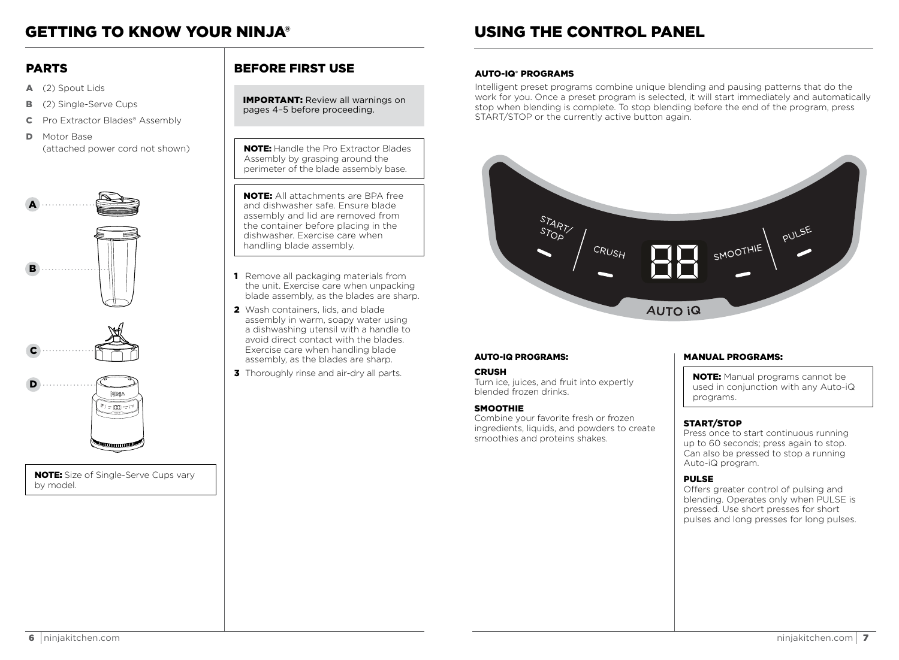# GETTING TO KNOW YOUR NINJA®

## PARTS

- A (2) Spout Lids
- **B** (2) Single-Serve Cups
- C Pro Extractor Blades® Assembly
- **D** Motor Base (attached power cord not shown)







NOTE: Size of Single-Serve Cups vary by model.

## BEFORE FIRST USE

IMPORTANT: Review all warnings on pages 4–5 before proceeding.

**NOTE:** Handle the Pro Extractor Blades Assembly by grasping around the perimeter of the blade assembly base.

NOTE: All attachments are BPA free and dishwasher safe. Ensure blade assembly and lid are removed from the container before placing in the dishwasher. Exercise care when handling blade assembly.

- 1 Remove all packaging materials from the unit. Exercise care when unpacking blade assembly, as the blades are sharp.
- 2 Wash containers, lids, and blade assembly in warm, soapy water using a dishwashing utensil with a handle to avoid direct contact with the blades. Exercise care when handling blade assembly, as the blades are sharp.
- **3** Thoroughly rinse and air-dry all parts.

# USING THE CONTROL PANEL

#### AUTO-IQ**®** PROGRAMS

Intelligent preset programs combine unique blending and pausing patterns that do the work for you. Once a preset program is selected, it will start immediately and automatically stop when blending is complete. To stop blending before the end of the program, press START/STOP or the currently active button again.



#### AUTO-IQ PROGRAMS:

#### **CRUSH**

Turn ice, juices, and fruit into expertly blended frozen drinks.

#### **SMOOTHIE**

Combine your favorite fresh or frozen ingredients, liquids, and powders to create smoothies and proteins shakes.

#### MANUAL PROGRAMS:

NOTE: Manual programs cannot be used in conjunction with any Auto-iQ programs.

### START/STOP

Press once to start continuous running up to 60 seconds; press again to stop. Can also be pressed to stop a running Auto-iQ program.

#### PULSE

Offers greater control of pulsing and blending. Operates only when PULSE is pressed. Use short presses for short pulses and long presses for long pulses.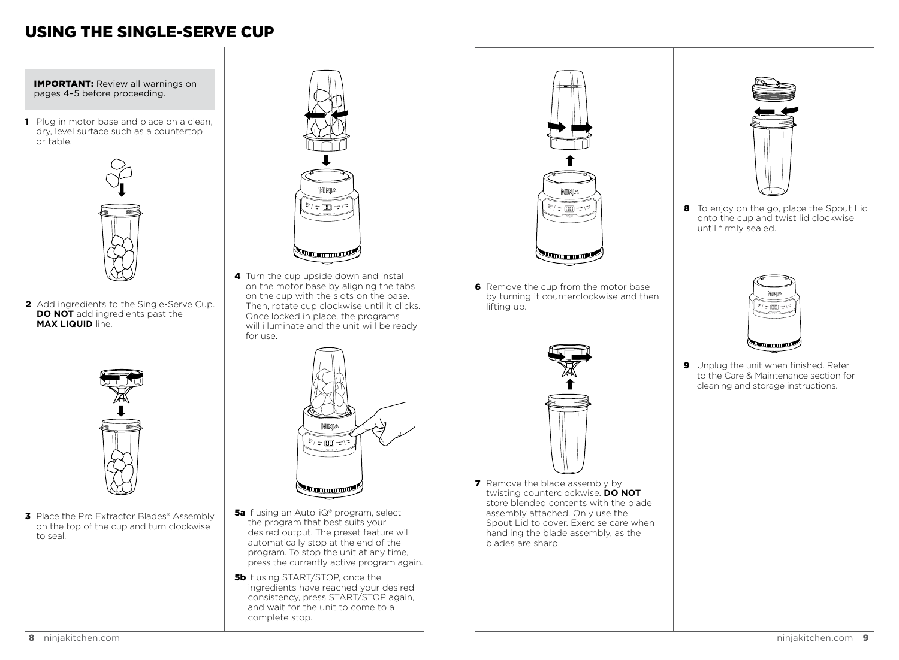# USING THE SINGLE-SERVE CUP

IMPORTANT: Review all warnings on pages 4–5 before proceeding.

1 Plug in motor base and place on a clean, dry, level surface such as a countertop or table.



2 Add ingredients to the Single-Serve Cup. **DO NOT** add ingredients past the **MAX LIQUID** line.



**3** Place the Pro Extractor Blades® Assembly on the top of the cup and turn clockwise to seal.



4 Turn the cup upside down and install on the motor base by aligning the tabs on the cup with the slots on the base. Then, rotate cup clockwise until it clicks. Once locked in place, the programs will illuminate and the unit will be ready for use.



- **5a** If using an Auto-iQ® program, select the program that best suits your desired output. The preset feature will automatically stop at the end of the program. To stop the unit at any time, press the currently active program again.
- **5b** If using START/STOP, once the ingredients have reached your desired consistency, press START/STOP again, and wait for the unit to come to a complete stop.



6 Remove the cup from the motor base by turning it counterclockwise and then lifting up.



**7** Remove the blade assembly by twisting counterclockwise. **DO NOT** store blended contents with the blade assembly attached. Only use the Spout Lid to cover. Exercise care when handling the blade assembly, as the blades are sharp.



8 To enjoy on the go, place the Spout Lid onto the cup and twist lid clockwise until firmly sealed.



9 Unplug the unit when finished. Refer to the Care & Maintenance section for cleaning and storage instructions.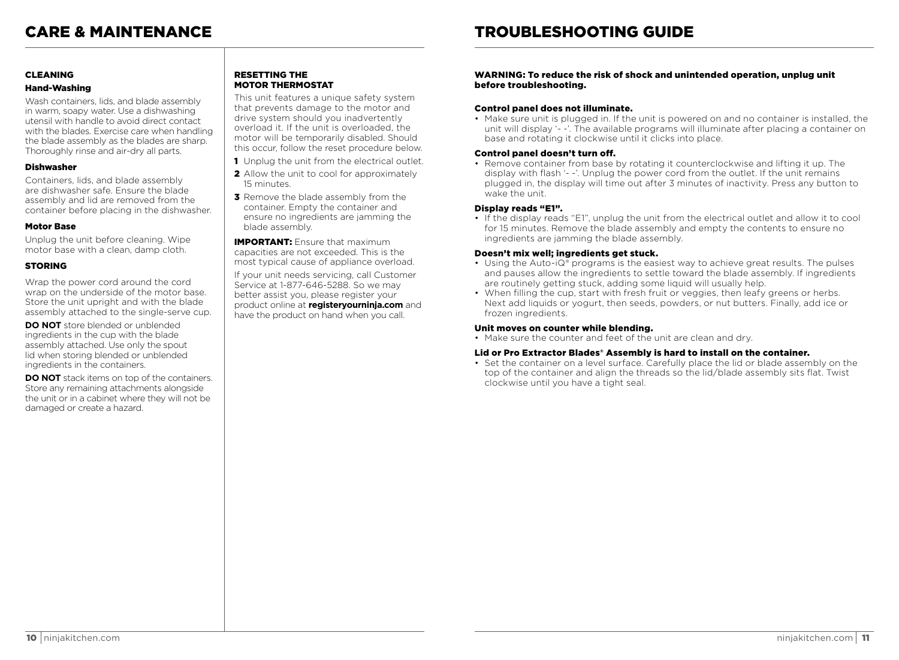#### CLEANING

#### Hand-Washing

Wash containers, lids, and blade assembly in warm, soapy water. Use a dishwashing utensil with handle to avoid direct contact with the blades. Exercise care when handling the blade assembly as the blades are sharp. Thoroughly rinse and air-dry all parts.

#### Dishwasher

Containers, lids, and blade assembly are dishwasher safe. Ensure the blade assembly and lid are removed from the container before placing in the dishwasher.

#### Motor Base

Unplug the unit before cleaning. Wipe motor base with a clean, damp cloth.

### STORING

Wrap the power cord around the cord wrap on the underside of the motor base. Store the unit upright and with the blade assembly attached to the single-serve cup.

**DO NOT** store blended or unblended ingredients in the cup with the blade assembly attached. Use only the spout lid when storing blended or unblended ingredients in the containers.

**DO NOT** stack items on top of the containers. Store any remaining attachments alongside the unit or in a cabinet where they will not be damaged or create a hazard.

#### RESETTING THE MOTOR THERMOSTAT

This unit features a unique safety system that prevents damage to the motor and drive system should you inadvertently overload it. If the unit is overloaded, the motor will be temporarily disabled. Should this occur, follow the reset procedure below.

- 1 Unplug the unit from the electrical outlet.
- 2 Allow the unit to cool for approximately 15 minutes.
- **3** Remove the blade assembly from the container. Empty the container and ensure no ingredients are jamming the blade assembly.

**IMPORTANT:** Ensure that maximum capacities are not exceeded. This is the most typical cause of appliance overload.

If your unit needs servicing, call Customer Service at 1-877-646-5288. So we may better assist you, please register your product online at **registeryourninja.com** and have the product on hand when you call.

#### WARNING: To reduce the risk of shock and unintended operation, unplug unit before troubleshooting.

#### Control panel does not illuminate.

• Make sure unit is plugged in. If the unit is powered on and no container is installed, the unit will display '- -'. The available programs will illuminate after placing a container on base and rotating it clockwise until it clicks into place.

#### Control panel doesn't turn off.

• Remove container from base by rotating it counterclockwise and lifting it up. The display with flash '- -'. Unplug the power cord from the outlet. If the unit remains plugged in, the display will time out after 3 minutes of inactivity. Press any button to wake the unit.

#### Display reads "E1".

• If the display reads "E1", unplug the unit from the electrical outlet and allow it to cool for 15 minutes. Remove the blade assembly and empty the contents to ensure no ingredients are jamming the blade assembly.

#### Doesn't mix well; ingredients get stuck.

- Using the Auto-iQ® programs is the easiest way to achieve great results. The pulses and pauses allow the ingredients to settle toward the blade assembly. If ingredients are routinely getting stuck, adding some liquid will usually help.
- When filling the cup, start with fresh fruit or veggies, then leafy greens or herbs. Next add liquids or yogurt, then seeds, powders, or nut butters. Finally, add ice or frozen ingredients.

#### Unit moves on counter while blending.

• Make sure the counter and feet of the unit are clean and dry.

#### Lid or Pro Extractor Blades® Assembly is hard to install on the container.

• Set the container on a level surface. Carefully place the lid or blade assembly on the top of the container and align the threads so the lid/blade assembly sits flat. Twist clockwise until you have a tight seal.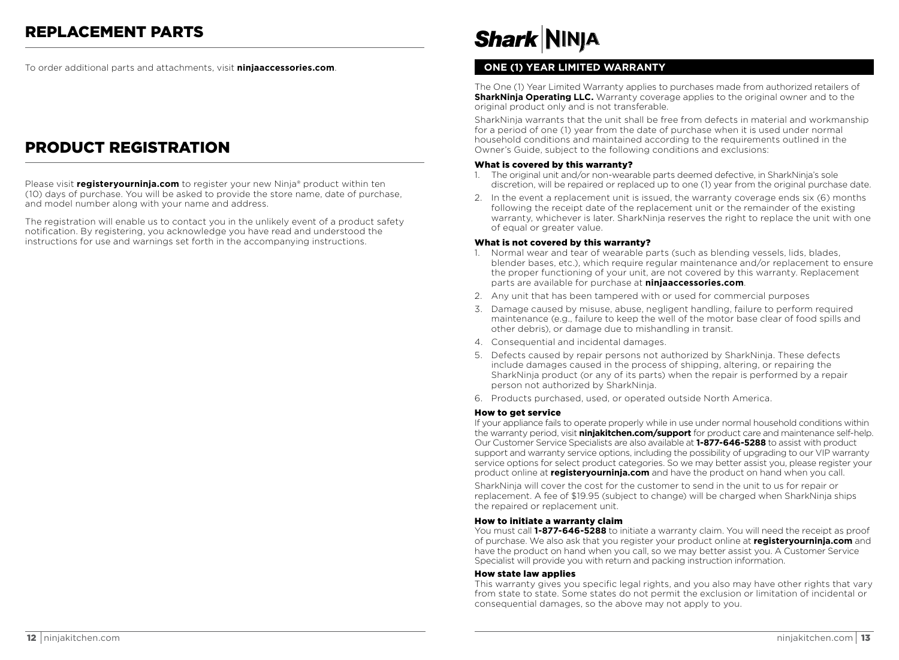To order additional parts and attachments, visit **ninjaaccessories.com**.

# PRODUCT REGISTRATION

Please visit **registeryourninja.com** to register your new Ninja® product within ten (10) days of purchase. You will be asked to provide the store name, date of purchase, and model number along with your name and address.

The registration will enable us to contact you in the unlikely event of a product safety notification. By registering, you acknowledge you have read and understood the instructions for use and warnings set forth in the accompanying instructions.

# **Shark NINJA**

### **ONE (1) YEAR LIMITED WARRANTY**

The One (1) Year Limited Warranty applies to purchases made from authorized retailers of **SharkNinia Operating LLC.** Warranty coverage applies to the original owner and to the original product only and is not transferable.

SharkNinja warrants that the unit shall be free from defects in material and workmanship for a period of one (1) year from the date of purchase when it is used under normal household conditions and maintained according to the requirements outlined in the Owner's Guide, subject to the following conditions and exclusions:

#### What is covered by this warranty?

- 1. The original unit and/or non-wearable parts deemed defective, in SharkNinja's sole discretion, will be repaired or replaced up to one (1) year from the original purchase date.
- 2. In the event a replacement unit is issued, the warranty coverage ends six (6) months following the receipt date of the replacement unit or the remainder of the existing warranty, whichever is later. SharkNinja reserves the right to replace the unit with one of equal or greater value.

#### What is not covered by this warranty?

- 1. Normal wear and tear of wearable parts (such as blending vessels, lids, blades, blender bases, etc.), which require regular maintenance and/or replacement to ensure the proper functioning of your unit, are not covered by this warranty. Replacement parts are available for purchase at **ninjaaccessories.com**.
- 2. Any unit that has been tampered with or used for commercial purposes
- 3. Damage caused by misuse, abuse, negligent handling, failure to perform required maintenance (e.g., failure to keep the well of the motor base clear of food spills and other debris), or damage due to mishandling in transit.
- 4. Consequential and incidental damages.
- 5. Defects caused by repair persons not authorized by SharkNinja. These defects include damages caused in the process of shipping, altering, or repairing the SharkNinja product (or any of its parts) when the repair is performed by a repair person not authorized by SharkNinja.
- 6. Products purchased, used, or operated outside North America.

#### How to get service

If your appliance fails to operate properly while in use under normal household conditions within the warranty period, visit **ninjakitchen.com/support** for product care and maintenance self-help. Our Customer Service Specialists are also available at **1-877-646-5288** to assist with product support and warranty service options, including the possibility of upgrading to our VIP warranty service options for select product categories. So we may better assist you, please register your product online at **registeryourninja.com** and have the product on hand when you call.

SharkNinja will cover the cost for the customer to send in the unit to us for repair or replacement. A fee of \$19.95 (subject to change) will be charged when SharkNinja ships the repaired or replacement unit.

#### How to initiate a warranty claim

You must call **1-877-646-5288** to initiate a warranty claim. You will need the receipt as proof of purchase. We also ask that you register your product online at **registeryourninja.com** and have the product on hand when you call, so we may better assist you. A Customer Service Specialist will provide you with return and packing instruction information.

#### How state law applies

This warranty gives you specific legal rights, and you also may have other rights that vary from state to state. Some states do not permit the exclusion or limitation of incidental or consequential damages, so the above may not apply to you.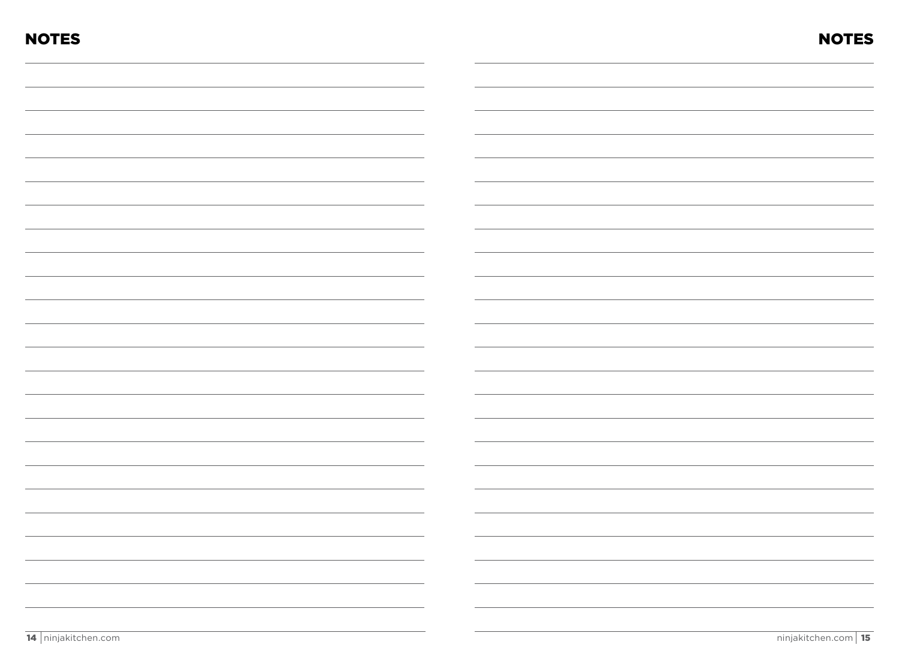| <b>NOTES</b> | <b>NOTES</b> |
|--------------|--------------|
|              |              |